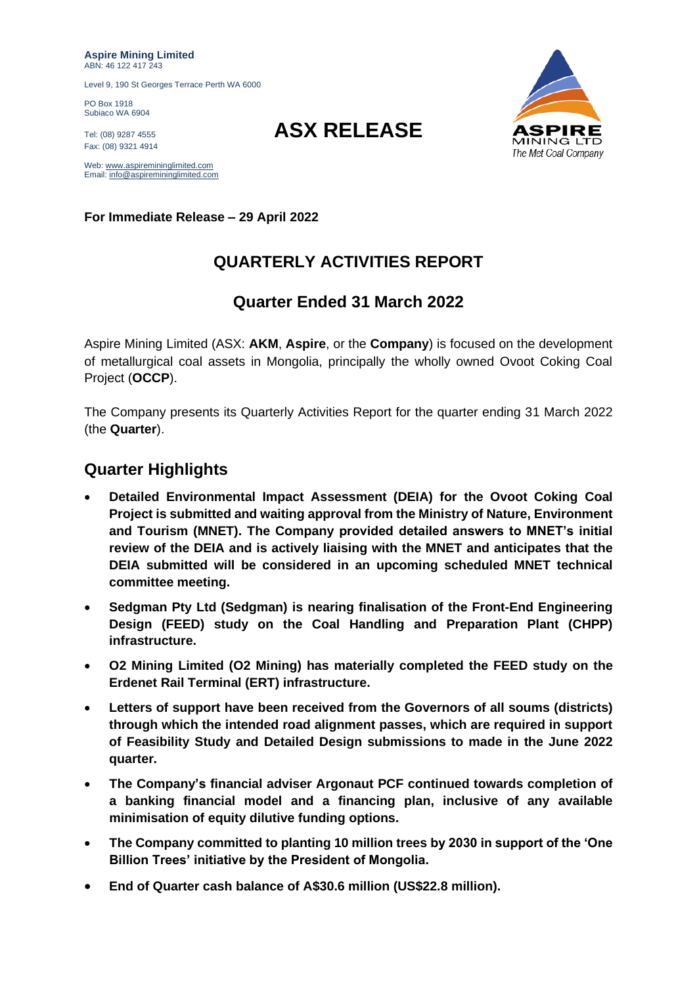**Aspire Mining Limited** ABN: 46 122 417 243

Level 9, 190 St Georges Terrace Perth WA 6000

PO Box 1918 Subiaco WA 6904

Fax: (08) 9321 4914

Web[: www.aspiremininglimited.com](http://www.aspiremininglimited.com/) Email[: info@aspiremininglimited.com](mailto:info@aspiremininglimited.com)

**For Immediate Release – 29 April 2022**

## **QUARTERLY ACTIVITIES REPORT**

### **Quarter Ended 31 March 2022**

Aspire Mining Limited (ASX: **AKM**, **Aspire**, or the **Company**) is focused on the development of metallurgical coal assets in Mongolia, principally the wholly owned Ovoot Coking Coal Project (**OCCP**).

The Company presents its Quarterly Activities Report for the quarter ending 31 March 2022 (the **Quarter**).

### **Quarter Highlights**

- **Detailed Environmental Impact Assessment (DEIA) for the Ovoot Coking Coal Project is submitted and waiting approval from the Ministry of Nature, Environment and Tourism (MNET). The Company provided detailed answers to MNET's initial review of the DEIA and is actively liaising with the MNET and anticipates that the DEIA submitted will be considered in an upcoming scheduled MNET technical committee meeting.**
- **Sedgman Pty Ltd (Sedgman) is nearing finalisation of the Front-End Engineering Design (FEED) study on the Coal Handling and Preparation Plant (CHPP) infrastructure.**
- **O2 Mining Limited (O2 Mining) has materially completed the FEED study on the Erdenet Rail Terminal (ERT) infrastructure.**
- **Letters of support have been received from the Governors of all soums (districts) through which the intended road alignment passes, which are required in support of Feasibility Study and Detailed Design submissions to made in the June 2022 quarter.**
- **The Company's financial adviser Argonaut PCF continued towards completion of a banking financial model and a financing plan, inclusive of any available minimisation of equity dilutive funding options.**
- **The Company committed to planting 10 million trees by 2030 in support of the 'One Billion Trees' initiative by the President of Mongolia.**
- **End of Quarter cash balance of A\$30.6 million (US\$22.8 million).**



# Tel: (08) 9287 4555 **ASX RELEASE**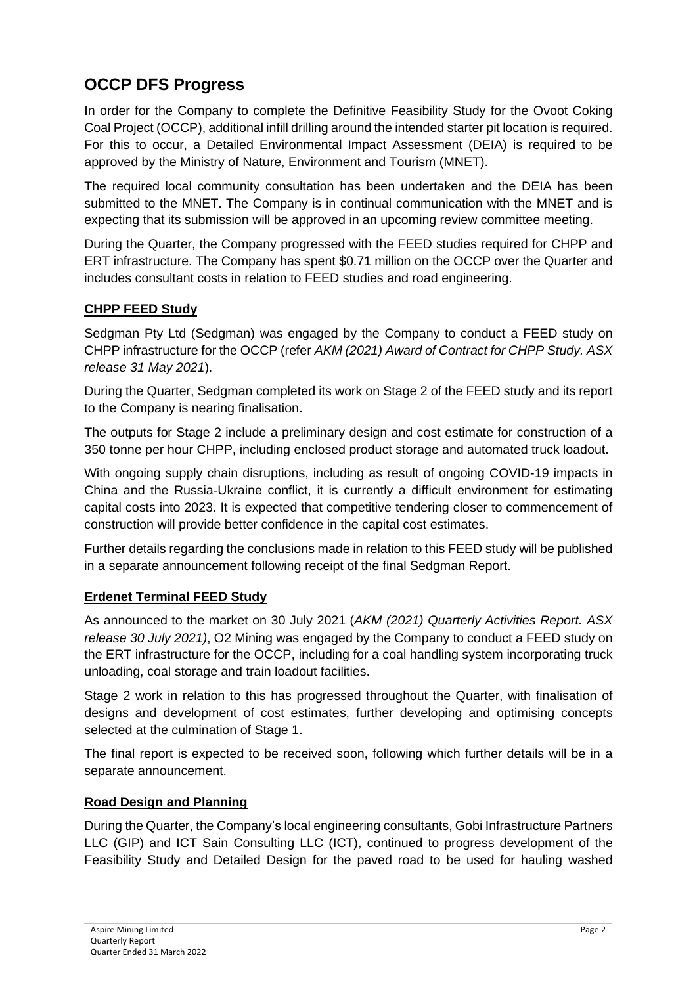## **OCCP DFS Progress**

In order for the Company to complete the Definitive Feasibility Study for the Ovoot Coking Coal Project (OCCP), additional infill drilling around the intended starter pit location is required. For this to occur, a Detailed Environmental Impact Assessment (DEIA) is required to be approved by the Ministry of Nature, Environment and Tourism (MNET).

The required local community consultation has been undertaken and the DEIA has been submitted to the MNET. The Company is in continual communication with the MNET and is expecting that its submission will be approved in an upcoming review committee meeting.

During the Quarter, the Company progressed with the FEED studies required for CHPP and ERT infrastructure. The Company has spent \$0.71 million on the OCCP over the Quarter and includes consultant costs in relation to FEED studies and road engineering.

### **CHPP FEED Study**

Sedgman Pty Ltd (Sedgman) was engaged by the Company to conduct a FEED study on CHPP infrastructure for the OCCP (refer *AKM (2021) Award of Contract for CHPP Study. ASX release 31 May 2021*).

During the Quarter, Sedgman completed its work on Stage 2 of the FEED study and its report to the Company is nearing finalisation.

The outputs for Stage 2 include a preliminary design and cost estimate for construction of a 350 tonne per hour CHPP, including enclosed product storage and automated truck loadout.

With ongoing supply chain disruptions, including as result of ongoing COVID-19 impacts in China and the Russia-Ukraine conflict, it is currently a difficult environment for estimating capital costs into 2023. It is expected that competitive tendering closer to commencement of construction will provide better confidence in the capital cost estimates.

Further details regarding the conclusions made in relation to this FEED study will be published in a separate announcement following receipt of the final Sedgman Report.

### **Erdenet Terminal FEED Study**

As announced to the market on 30 July 2021 (*AKM (2021) Quarterly Activities Report. ASX release 30 July 2021)*, O2 Mining was engaged by the Company to conduct a FEED study on the ERT infrastructure for the OCCP, including for a coal handling system incorporating truck unloading, coal storage and train loadout facilities.

Stage 2 work in relation to this has progressed throughout the Quarter, with finalisation of designs and development of cost estimates, further developing and optimising concepts selected at the culmination of Stage 1.

The final report is expected to be received soon, following which further details will be in a separate announcement.

### **Road Design and Planning**

During the Quarter, the Company's local engineering consultants, Gobi Infrastructure Partners LLC (GIP) and ICT Sain Consulting LLC (ICT), continued to progress development of the Feasibility Study and Detailed Design for the paved road to be used for hauling washed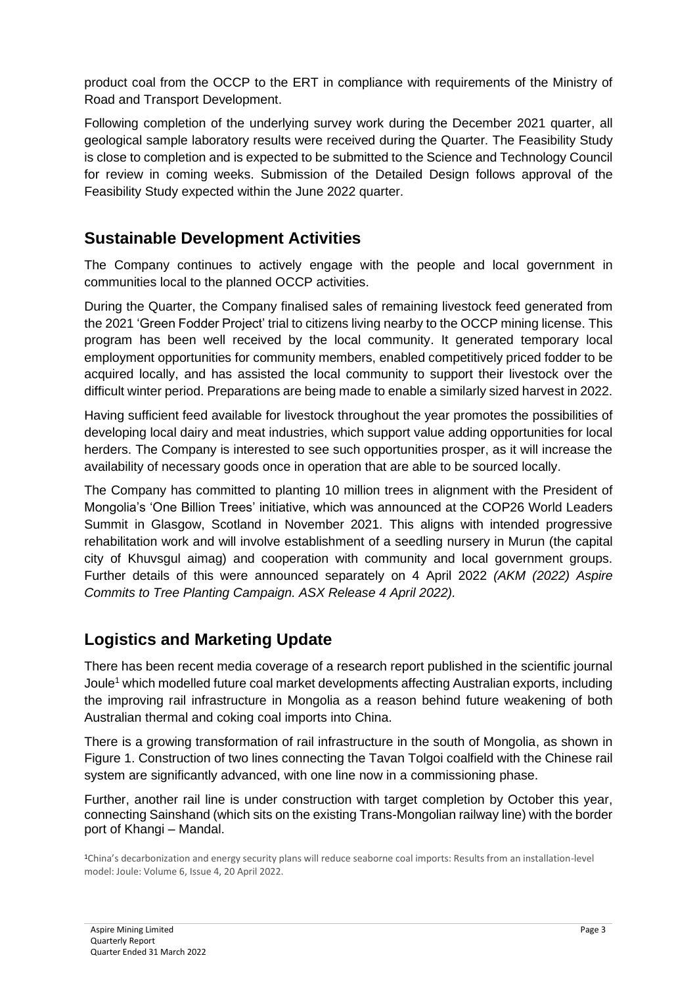product coal from the OCCP to the ERT in compliance with requirements of the Ministry of Road and Transport Development.

Following completion of the underlying survey work during the December 2021 quarter, all geological sample laboratory results were received during the Quarter. The Feasibility Study is close to completion and is expected to be submitted to the Science and Technology Council for review in coming weeks. Submission of the Detailed Design follows approval of the Feasibility Study expected within the June 2022 quarter.

### **Sustainable Development Activities**

The Company continues to actively engage with the people and local government in communities local to the planned OCCP activities.

During the Quarter, the Company finalised sales of remaining livestock feed generated from the 2021 'Green Fodder Project' trial to citizens living nearby to the OCCP mining license. This program has been well received by the local community. It generated temporary local employment opportunities for community members, enabled competitively priced fodder to be acquired locally, and has assisted the local community to support their livestock over the difficult winter period. Preparations are being made to enable a similarly sized harvest in 2022.

Having sufficient feed available for livestock throughout the year promotes the possibilities of developing local dairy and meat industries, which support value adding opportunities for local herders. The Company is interested to see such opportunities prosper, as it will increase the availability of necessary goods once in operation that are able to be sourced locally.

The Company has committed to planting 10 million trees in alignment with the President of Mongolia's 'One Billion Trees' initiative, which was announced at the COP26 World Leaders Summit in Glasgow, Scotland in November 2021. This aligns with intended progressive rehabilitation work and will involve establishment of a seedling nursery in Murun (the capital city of Khuvsgul aimag) and cooperation with community and local government groups. Further details of this were announced separately on 4 April 2022 *(AKM (2022) Aspire Commits to Tree Planting Campaign. ASX Release 4 April 2022).*

### **Logistics and Marketing Update**

There has been recent media coverage of a research report published in the scientific journal Joule<sup>1</sup> which modelled future coal market developments affecting Australian exports, including the improving rail infrastructure in Mongolia as a reason behind future weakening of both Australian thermal and coking coal imports into China.

There is a growing transformation of rail infrastructure in the south of Mongolia, as shown in [Figure 1.](#page-3-0) Construction of two lines connecting the Tavan Tolgoi coalfield with the Chinese rail system are significantly advanced, with one line now in a commissioning phase.

Further, another rail line is under construction with target completion by October this year, connecting Sainshand (which sits on the existing Trans-Mongolian railway line) with the border port of Khangi – Mandal.

<sup>1</sup>China's decarbonization and energy security plans will reduce seaborne coal imports: Results from an installation-level model: Joule: Volume 6, Issue 4, 20 April 2022.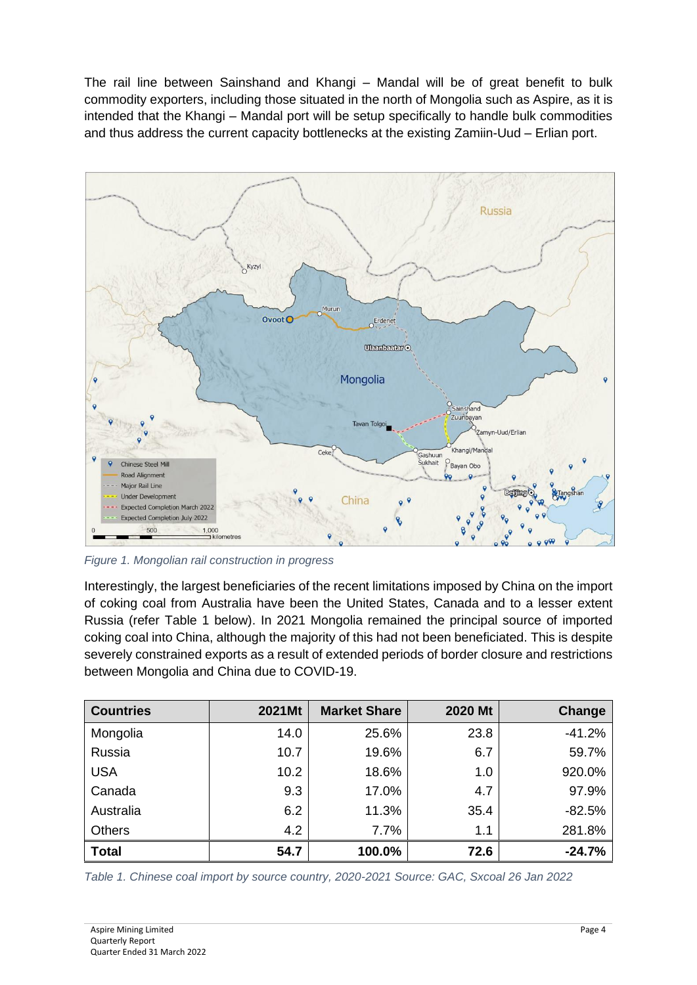The rail line between Sainshand and Khangi – Mandal will be of great benefit to bulk commodity exporters, including those situated in the north of Mongolia such as Aspire, as it is intended that the Khangi – Mandal port will be setup specifically to handle bulk commodities and thus address the current capacity bottlenecks at the existing Zamiin-Uud – Erlian port.



<span id="page-3-0"></span>*Figure 1. Mongolian rail construction in progress*

Interestingly, the largest beneficiaries of the recent limitations imposed by China on the import of coking coal from Australia have been the United States, Canada and to a lesser extent Russia (refer Table 1 below). In 2021 Mongolia remained the principal source of imported coking coal into China, although the majority of this had not been beneficiated. This is despite severely constrained exports as a result of extended periods of border closure and restrictions between Mongolia and China due to COVID-19.

| <b>Countries</b> | 2021Mt | <b>Market Share</b> | 2020 Mt | Change   |
|------------------|--------|---------------------|---------|----------|
| Mongolia         | 14.0   | 25.6%               | 23.8    | $-41.2%$ |
| Russia           | 10.7   | 19.6%               | 6.7     | 59.7%    |
| <b>USA</b>       | 10.2   | 18.6%               | 1.0     | 920.0%   |
| Canada           | 9.3    | 17.0%               | 4.7     | 97.9%    |
| Australia        | 6.2    | 11.3%               | 35.4    | $-82.5%$ |
| <b>Others</b>    | 4.2    | 7.7%                | 1.1     | 281.8%   |
| <b>Total</b>     | 54.7   | 100.0%              | 72.6    | $-24.7%$ |

*Table 1. Chinese coal import by source country, 2020-2021 Source: GAC, Sxcoal 26 Jan 2022*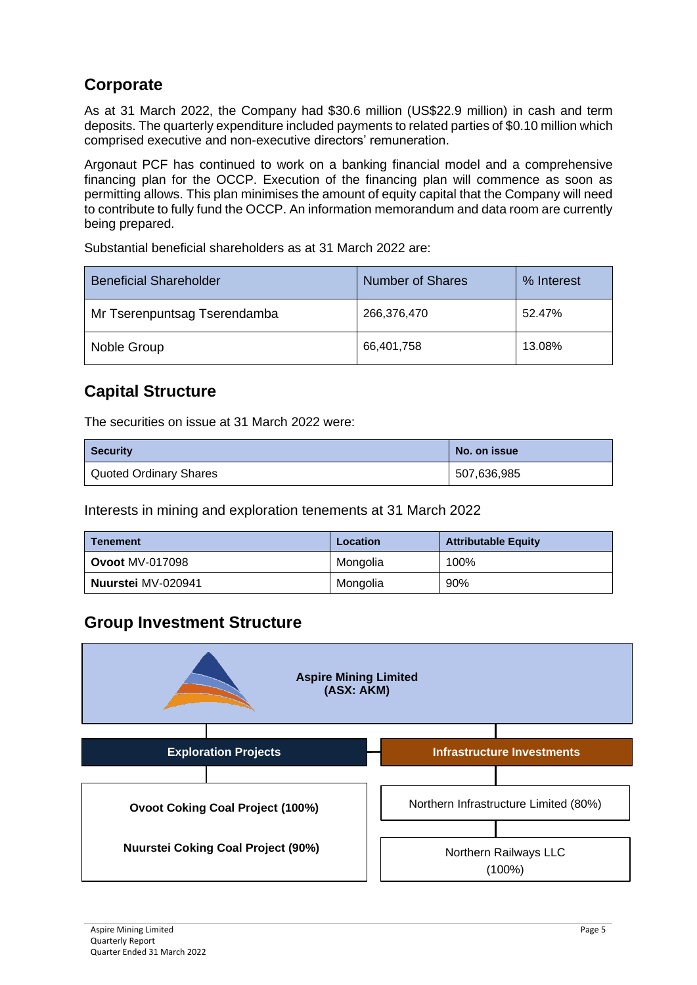## **Corporate**

As at 31 March 2022, the Company had \$30.6 million (US\$22.9 million) in cash and term deposits. The quarterly expenditure included payments to related parties of \$0.10 million which comprised executive and non-executive directors' remuneration.

Argonaut PCF has continued to work on a banking financial model and a comprehensive financing plan for the OCCP. Execution of the financing plan will commence as soon as permitting allows. This plan minimises the amount of equity capital that the Company will need to contribute to fully fund the OCCP. An information memorandum and data room are currently being prepared.

Substantial beneficial shareholders as at 31 March 2022 are:

| <b>Beneficial Shareholder</b> | <b>Number of Shares</b> | % Interest |
|-------------------------------|-------------------------|------------|
| Mr Tserenpuntsag Tserendamba  | 266,376,470             | 52.47%     |
| Noble Group                   | 66,401,758              | 13.08%     |

### **Capital Structure**

The securities on issue at 31 March 2022 were:

| <b>Security</b>        | No. on issue |  |
|------------------------|--------------|--|
| Quoted Ordinary Shares | 507,636,985  |  |

Interests in mining and exploration tenements at 31 March 2022

| <b>Tenement</b>        | Location | <b>Attributable Equity</b> |
|------------------------|----------|----------------------------|
| <b>Ovoot MV-017098</b> | Mongolia | 100%                       |
| Nuurstei MV-020941     | Mongolia | 90%                        |

### **Group Investment Structure**

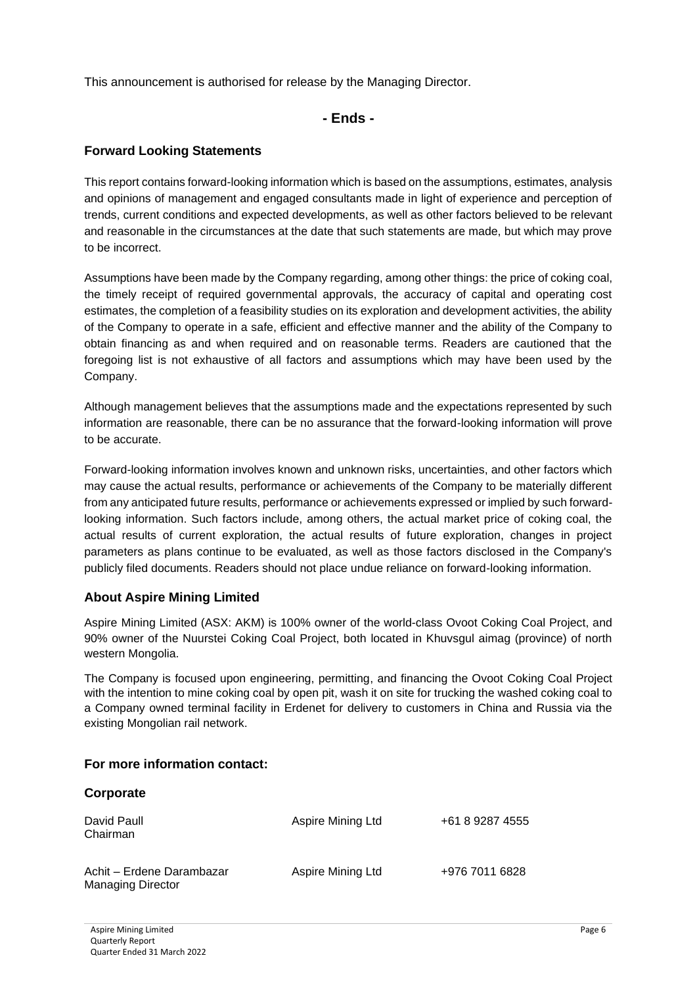This announcement is authorised for release by the Managing Director.

**- Ends -**

#### **Forward Looking Statements**

This report contains forward-looking information which is based on the assumptions, estimates, analysis and opinions of management and engaged consultants made in light of experience and perception of trends, current conditions and expected developments, as well as other factors believed to be relevant and reasonable in the circumstances at the date that such statements are made, but which may prove to be incorrect.

Assumptions have been made by the Company regarding, among other things: the price of coking coal, the timely receipt of required governmental approvals, the accuracy of capital and operating cost estimates, the completion of a feasibility studies on its exploration and development activities, the ability of the Company to operate in a safe, efficient and effective manner and the ability of the Company to obtain financing as and when required and on reasonable terms. Readers are cautioned that the foregoing list is not exhaustive of all factors and assumptions which may have been used by the Company.

Although management believes that the assumptions made and the expectations represented by such information are reasonable, there can be no assurance that the forward-looking information will prove to be accurate.

Forward-looking information involves known and unknown risks, uncertainties, and other factors which may cause the actual results, performance or achievements of the Company to be materially different from any anticipated future results, performance or achievements expressed or implied by such forwardlooking information. Such factors include, among others, the actual market price of coking coal, the actual results of current exploration, the actual results of future exploration, changes in project parameters as plans continue to be evaluated, as well as those factors disclosed in the Company's publicly filed documents. Readers should not place undue reliance on forward-looking information.

#### **About Aspire Mining Limited**

Aspire Mining Limited (ASX: AKM) is 100% owner of the world-class Ovoot Coking Coal Project, and 90% owner of the Nuurstei Coking Coal Project, both located in Khuvsgul aimag (province) of north western Mongolia.

The Company is focused upon engineering, permitting, and financing the Ovoot Coking Coal Project with the intention to mine coking coal by open pit, wash it on site for trucking the washed coking coal to a Company owned terminal facility in Erdenet for delivery to customers in China and Russia via the existing Mongolian rail network.

### **For more information contact:**

| <b>VUI NUI ULU</b>                                    |                   |                 |
|-------------------------------------------------------|-------------------|-----------------|
| David Paull<br>Chairman                               | Aspire Mining Ltd | +61 8 9287 4555 |
| Achit – Erdene Darambazar<br><b>Managing Director</b> | Aspire Mining Ltd | +976 7011 6828  |

**Corporate**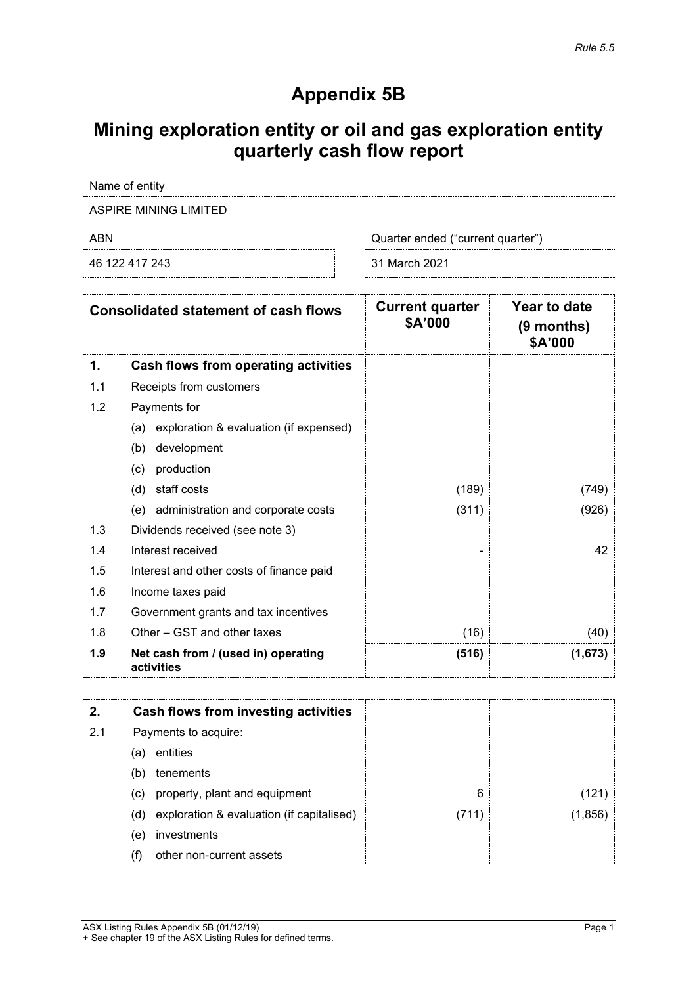# **Appendix 5B**

# **Mining exploration entity or oil and gas exploration entity quarterly cash flow report**

Name of entity

ASPIRE MINING LIMITED

46 122 417 243 31 March 2021

ABN Quarter ended ("current quarter")

|     | <b>Consolidated statement of cash flows</b>       | <b>Current quarter</b><br>\$A'000 | Year to date<br>$(9$ months)<br>\$A'000 |
|-----|---------------------------------------------------|-----------------------------------|-----------------------------------------|
| 1.  | <b>Cash flows from operating activities</b>       |                                   |                                         |
| 1.1 | Receipts from customers                           |                                   |                                         |
| 1.2 | Payments for                                      |                                   |                                         |
|     | exploration & evaluation (if expensed)<br>(a)     |                                   |                                         |
|     | development<br>(b)                                |                                   |                                         |
|     | production<br>(c)                                 |                                   |                                         |
|     | staff costs<br>(d)                                | (189)                             | (749)                                   |
|     | (e) administration and corporate costs            | (311)                             | (926)                                   |
| 1.3 | Dividends received (see note 3)                   |                                   |                                         |
| 1.4 | Interest received                                 |                                   | 42                                      |
| 1.5 | Interest and other costs of finance paid          |                                   |                                         |
| 1.6 | Income taxes paid                                 |                                   |                                         |
| 1.7 | Government grants and tax incentives              |                                   |                                         |
| 1.8 | Other – GST and other taxes                       | (16)                              | (40)                                    |
| 1.9 | Net cash from / (used in) operating<br>activities | (516)                             | (1,673)                                 |

|     |     | Cash flows from investing activities      |       |         |
|-----|-----|-------------------------------------------|-------|---------|
| 2.1 |     | Payments to acquire:                      |       |         |
|     | (a) | entities                                  |       |         |
|     | (b) | tenements                                 |       |         |
|     | (c) | property, plant and equipment             | 6     |         |
|     | (d) | exploration & evaluation (if capitalised) | (711) | (1,856) |
|     | (e) | investments                               |       |         |
|     | (†) | other non-current assets                  |       |         |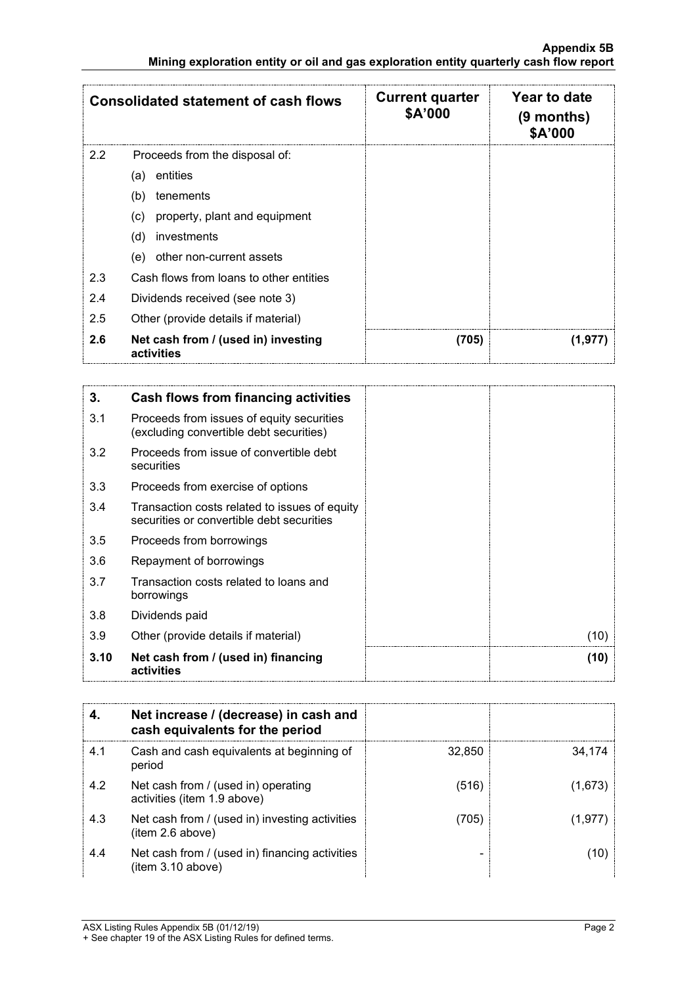|                                            | <b>Consolidated statement of cash flows</b>       | <b>Current quarter</b><br>\$A'000 | Year to date<br>$(9$ months)<br>\$A'000 |
|--------------------------------------------|---------------------------------------------------|-----------------------------------|-----------------------------------------|
| $2.2^{\circ}$                              | Proceeds from the disposal of:                    |                                   |                                         |
|                                            | entities<br>(a)                                   |                                   |                                         |
|                                            | (b)<br>tenements                                  |                                   |                                         |
|                                            | (c)<br>property, plant and equipment              |                                   |                                         |
|                                            | (d)<br>investments                                |                                   |                                         |
|                                            | other non-current assets<br>(e)                   |                                   |                                         |
| 2.3                                        | Cash flows from loans to other entities           |                                   |                                         |
| 2.4                                        | Dividends received (see note 3)                   |                                   |                                         |
| 2.5<br>Other (provide details if material) |                                                   |                                   |                                         |
| 2.6                                        | Net cash from / (used in) investing<br>activities | (705)                             | (1,977                                  |

| 3.   | Cash flows from financing activities                                                       |
|------|--------------------------------------------------------------------------------------------|
| 3.1  | Proceeds from issues of equity securities<br>(excluding convertible debt securities)       |
| 3.2  | Proceeds from issue of convertible debt<br>securities                                      |
| 3.3  | Proceeds from exercise of options                                                          |
| 3.4  | Transaction costs related to issues of equity<br>securities or convertible debt securities |
| 3.5  | Proceeds from borrowings                                                                   |
| 3.6  | Repayment of borrowings                                                                    |
| 3.7  | Transaction costs related to loans and<br>borrowings                                       |
| 3.8  | Dividends paid                                                                             |
| 3.9  | Other (provide details if material)                                                        |
| 3.10 | Net cash from / (used in) financing<br>activities                                          |

|     | Net increase / (decrease) in cash and<br>cash equivalents for the period |        |        |
|-----|--------------------------------------------------------------------------|--------|--------|
| 4.1 | Cash and cash equivalents at beginning of<br>period                      | 32,850 | 34.174 |
| 4.2 | Net cash from / (used in) operating<br>activities (item 1.9 above)       | (516)  | (1,673 |
| 4.3 | Net cash from / (used in) investing activities<br>(item 2.6 above)       | (705)  | (1.977 |
| 4.4 | Net cash from / (used in) financing activities<br>item 3.10 above)       |        |        |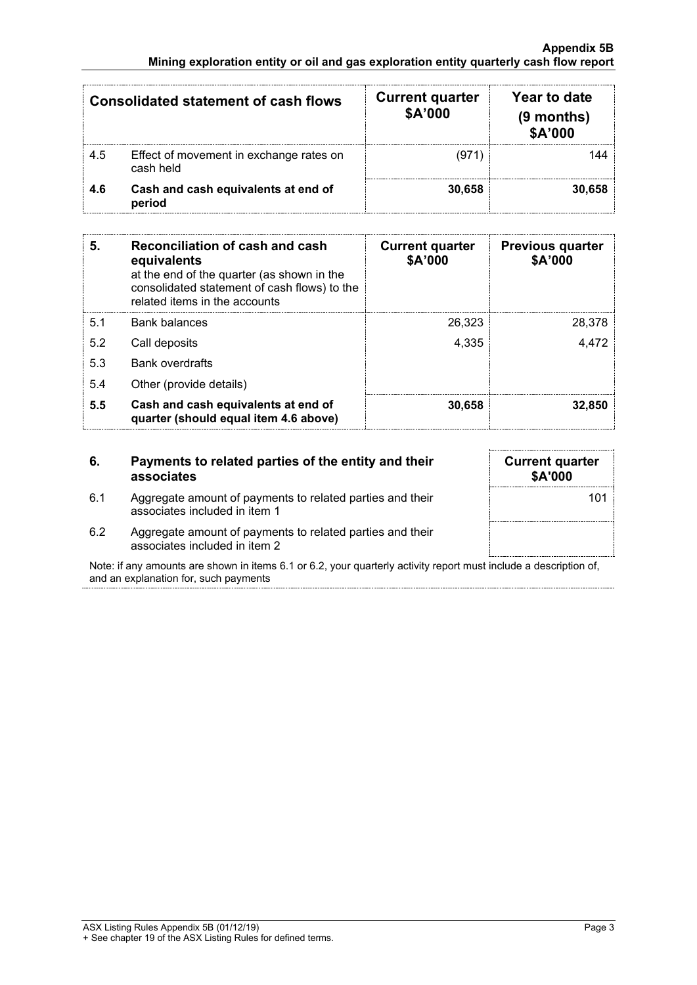| <b>Consolidated statement of cash flows</b> |                                                      | <b>Current quarter</b><br>\$A'000 | Year to date<br>(9 months)<br>\$A'000 |
|---------------------------------------------|------------------------------------------------------|-----------------------------------|---------------------------------------|
| 4.5                                         | Effect of movement in exchange rates on<br>cash held | 1971                              |                                       |
| 4.6                                         | Cash and cash equivalents at end of<br>period        | 30,658                            |                                       |

| 5.  | Reconciliation of cash and cash<br>equivalents<br>at the end of the quarter (as shown in the<br>consolidated statement of cash flows) to the<br>related items in the accounts | <b>Current quarter</b><br>\$A'000 | <b>Previous quarter</b><br>\$A'000 |
|-----|-------------------------------------------------------------------------------------------------------------------------------------------------------------------------------|-----------------------------------|------------------------------------|
| 5.1 | Bank balances                                                                                                                                                                 | 26,323                            | 28,378                             |
| 5.2 | Call deposits                                                                                                                                                                 | 4,335                             | 4.472                              |
| 5.3 | <b>Bank overdrafts</b>                                                                                                                                                        |                                   |                                    |
| 5.4 | Other (provide details)                                                                                                                                                       |                                   |                                    |
| 5.5 | Cash and cash equivalents at end of<br>quarter (should equal item 4.6 above)                                                                                                  | 30,658                            | 32.850                             |

| -6. | Payments to related parties of the entity and their<br>associates                          | <b>Current quarter</b><br><b>\$A'000</b> |
|-----|--------------------------------------------------------------------------------------------|------------------------------------------|
| 6.1 | Aggregate amount of payments to related parties and their<br>associates included in item 1 | 10٬                                      |
| 6.2 | Aggregate amount of payments to related parties and their<br>associates included in item 2 |                                          |

Note: if any amounts are shown in items 6.1 or 6.2, your quarterly activity report must include a description of, and an explanation for, such payments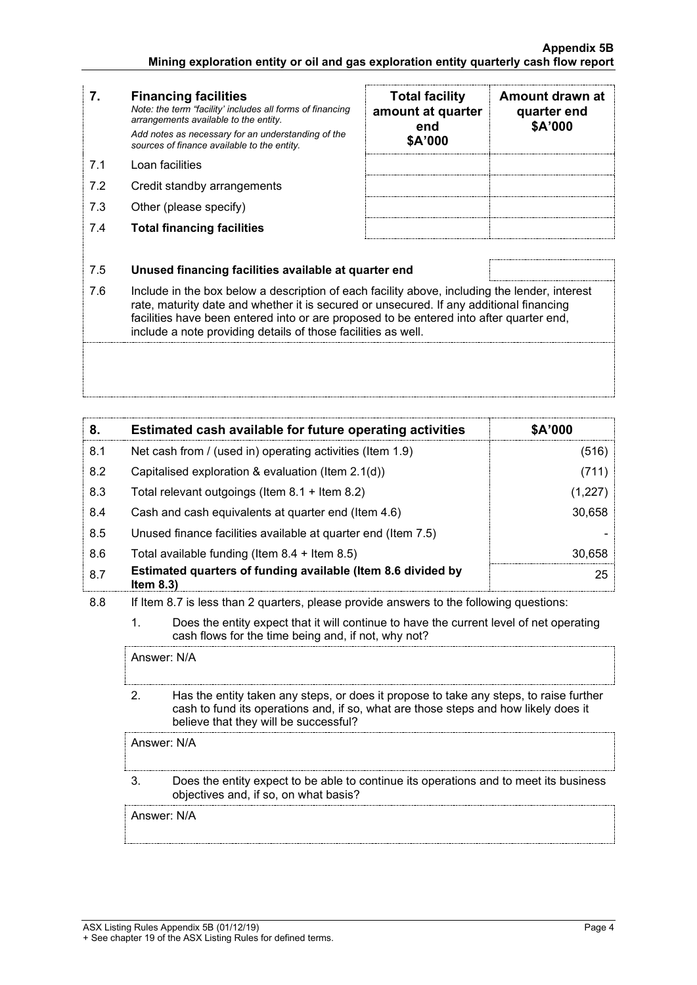#### **7. Financing facilities** *Note: the term "facility' includes all forms of financing arrangements available to the entity. Add notes as necessary for an understanding of the sources of finance available to the entity.*

- 7.1 Loan facilities
- 7.2 Credit standby arrangements
- 7.3 Other (please specify)
- 7.4 **Total financing facilities**

| <b>Total facility</b><br>amount at quarter<br>end<br>\$A'000 | Amount drawn at<br>quarter end<br>\$A'000 |
|--------------------------------------------------------------|-------------------------------------------|
|                                                              |                                           |
|                                                              |                                           |
|                                                              |                                           |
|                                                              |                                           |

#### 7.5 **Unused financing facilities available at quarter end**

7.6 Include in the box below a description of each facility above, including the lender, interest rate, maturity date and whether it is secured or unsecured. If any additional financing facilities have been entered into or are proposed to be entered into after quarter end, include a note providing details of those facilities as well.

| 8.  | Estimated cash available for future operating activities                     | \$A'000 |
|-----|------------------------------------------------------------------------------|---------|
| 8.1 | Net cash from / (used in) operating activities (Item 1.9)                    | (516)   |
| 8.2 | Capitalised exploration & evaluation (Item 2.1(d))                           | (711)   |
| 8.3 | Total relevant outgoings (Item $8.1 +$ Item $8.2$ )                          | (1,227) |
| 8.4 | Cash and cash equivalents at quarter end (Item 4.6)                          | 30,658  |
| 8.5 | Unused finance facilities available at quarter end (Item 7.5)                |         |
| 8.6 | Total available funding (Item $8.4 +$ Item $8.5$ )                           | 30.658  |
| 8.7 | Estimated quarters of funding available (Item 8.6 divided by<br>Item $8.3$ ) | 25      |

8.8 If Item 8.7 is less than 2 quarters, please provide answers to the following questions:

1. Does the entity expect that it will continue to have the current level of net operating cash flows for the time being and, if not, why not?

Answer: N/A

2. Has the entity taken any steps, or does it propose to take any steps, to raise further cash to fund its operations and, if so, what are those steps and how likely does it believe that they will be successful?

Answer: N/A

#### 3. Does the entity expect to be able to continue its operations and to meet its business objectives and, if so, on what basis?

Answer: N/A